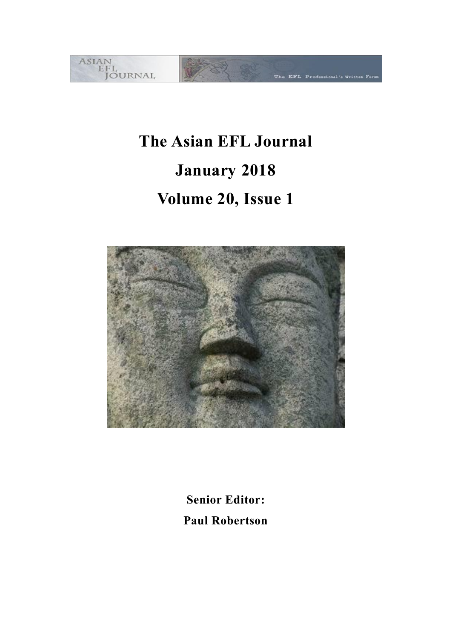

# **The Asian EFL Journal January 2018 Volume 20, Issue 1**



**Senior Editor: Paul Robertson**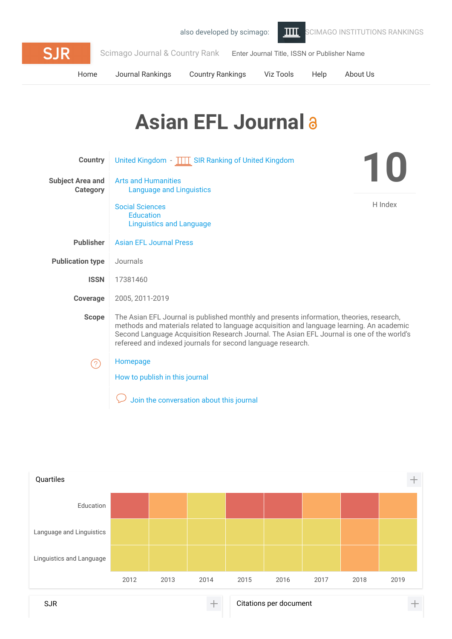

[Home](https://www.scimagojr.com/index.php) [Journal Rankings](https://www.scimagojr.com/journalrank.php) [Country Rankings](https://www.scimagojr.com/countryrank.php) [Viz Tools](https://www.scimagojr.com/viztools.php) [Help](https://www.scimagojr.com/help.php) [About Us](https://www.scimagojr.com/aboutus.php)

# Asian EFL Journal a

| <b>Country</b>                      | United Kingdom - TTT SIR Ranking of United Kingdom                                                                                                                                                                                                                                                                                               | $\blacksquare$ |
|-------------------------------------|--------------------------------------------------------------------------------------------------------------------------------------------------------------------------------------------------------------------------------------------------------------------------------------------------------------------------------------------------|----------------|
| <b>Subject Area and</b><br>Category | <b>Arts and Humanities</b><br><b>Language and Linguistics</b>                                                                                                                                                                                                                                                                                    |                |
|                                     | H Index<br><b>Social Sciences</b><br><b>Education</b><br><b>Linguistics and Language</b>                                                                                                                                                                                                                                                         |                |
| <b>Publisher</b>                    | <b>Asian FFL, Journal Press</b>                                                                                                                                                                                                                                                                                                                  |                |
| <b>Publication type</b>             | Journals                                                                                                                                                                                                                                                                                                                                         |                |
| <b>ISSN</b>                         | 17381460                                                                                                                                                                                                                                                                                                                                         |                |
| Coverage                            | 2005, 2011-2019                                                                                                                                                                                                                                                                                                                                  |                |
| <b>Scope</b>                        | The Asian EFL Journal is published monthly and presents information, theories, research,<br>methods and materials related to language acquisition and language learning. An academic<br>Second Language Acquisition Research Journal. The Asian EFL Journal is one of the world's<br>refereed and indexed journals for second language research. |                |
| [2]                                 | Homepage                                                                                                                                                                                                                                                                                                                                         |                |
|                                     | How to publish in this journal                                                                                                                                                                                                                                                                                                                   |                |
|                                     | Join the conversation about this journal                                                                                                                                                                                                                                                                                                         |                |

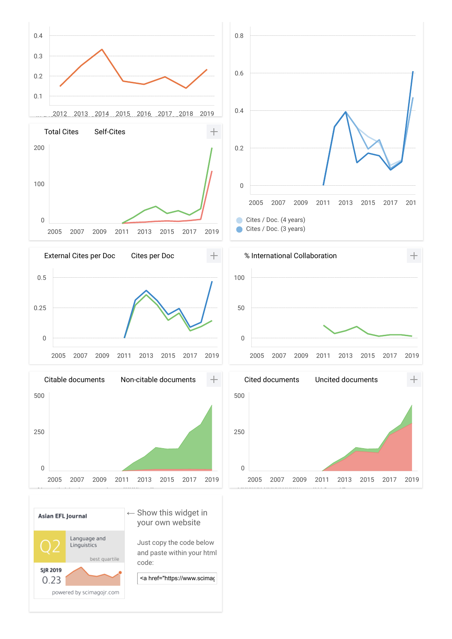

Just copy the code below and paste within your html code:

Linguistics

powered by scimagojr.com

**SJR 2019** 0.23 best quartile

<a href="https://www.scimag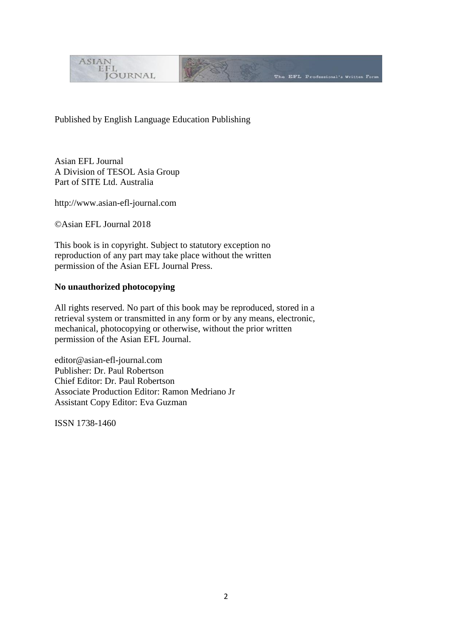

Published by English Language Education Publishing

Asian EFL Journal A Division of TESOL Asia Group Part of SITE Ltd. Australia

http://www.asian-efl-journal.com

©Asian EFL Journal 2018

This book is in copyright. Subject to statutory exception no reproduction of any part may take place without the written permission of the Asian EFL Journal Press.

# **No unauthorized photocopying**

All rights reserved. No part of this book may be reproduced, stored in a retrieval system or transmitted in any form or by any means, electronic, mechanical, photocopying or otherwise, without the prior written permission of the Asian EFL Journal.

editor@asian-efl-journal.com Publisher: Dr. Paul Robertson Chief Editor: Dr. Paul Robertson Associate Production Editor: Ramon Medriano Jr Assistant Copy Editor: Eva Guzman

ISSN 1738-1460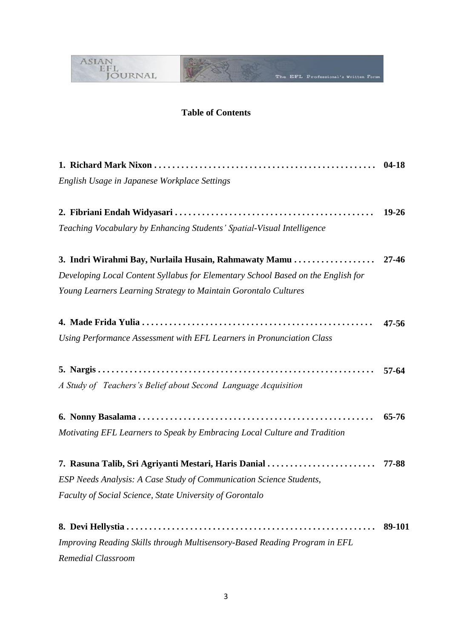

# **Table of Contents**

|                                                                                  | $04-18$   |
|----------------------------------------------------------------------------------|-----------|
| English Usage in Japanese Workplace Settings                                     |           |
|                                                                                  |           |
|                                                                                  | $19 - 26$ |
| Teaching Vocabulary by Enhancing Students' Spatial-Visual Intelligence           |           |
| 3. Indri Wirahmi Bay, Nurlaila Husain, Rahmawaty Mamu                            | $27 - 46$ |
| Developing Local Content Syllabus for Elementary School Based on the English for |           |
| Young Learners Learning Strategy to Maintain Gorontalo Cultures                  |           |
|                                                                                  | $47 - 56$ |
| Using Performance Assessment with EFL Learners in Pronunciation Class            |           |
|                                                                                  |           |
|                                                                                  | $57-64$   |
| A Study of Teachers's Belief about Second Language Acquisition                   |           |
|                                                                                  | 65-76     |
| Motivating EFL Learners to Speak by Embracing Local Culture and Tradition        |           |
|                                                                                  |           |
| 7. Rasuna Talib, Sri Agriyanti Mestari, Haris Danial                             | 77-88     |
| ESP Needs Analysis: A Case Study of Communication Science Students,              |           |
| Faculty of Social Science, State University of Gorontalo                         |           |
|                                                                                  | 89-101    |
| Improving Reading Skills through Multisensory-Based Reading Program in EFL       |           |
| Remedial Classroom                                                               |           |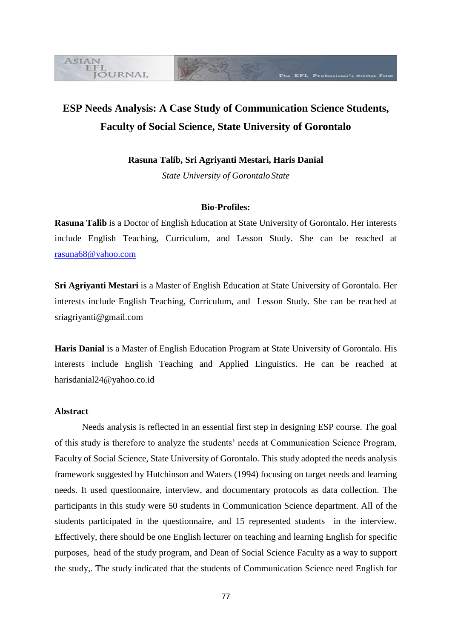# **ESP Needs Analysis: A Case Study of Communication Science Students, Faculty of Social Science, State University of Gorontalo**

The EFL Professional's Written Foru

**Rasuna Talib, Sri Agriyanti Mestari, Haris Danial**

*State University of Gorontalo State* 

#### **Bio-Profiles:**

**Rasuna Talib** is a Doctor of English Education at State University of Gorontalo. Her interests include English Teaching, Curriculum, and Lesson Study. She can be reached at [rasuna68@yahoo.com](mailto:rasuna68@yahoo.com)

**Sri Agriyanti Mestari** is a Master of English Education at State University of Gorontalo. Her interests include English Teaching, Curriculum, and Lesson Study. She can be reached at [sriagriyanti@gmail.com](mailto:sriagriyanti@gmail.com)

**Haris Danial** is a Master of English Education Program at State University of Gorontalo. His interests include English Teaching and Applied Linguistics. He can be reached at [harisdanial24@yahoo.co.id](mailto:harisdanial24@yahoo.co.id)

# **Abstract**

**ASIAN** EFL

**JOURNAL** 

Needs analysis is reflected in an essential first step in designing ESP course. The goal of this study is therefore to analyze the students' needs at Communication Science Program, Faculty of Social Science, State University of Gorontalo. This study adopted the needs analysis framework suggested by Hutchinson and Waters (1994) focusing on target needs and learning needs. It used questionnaire, interview, and documentary protocols as data collection. The participants in this study were 50 students in Communication Science department. All of the students participated in the questionnaire, and 15 represented students in the interview. Effectively, there should be one English lecturer on teaching and learning English for specific purposes, head of the study program, and Dean of Social Science Faculty as a way to support the study,. The study indicated that the students of Communication Science need English for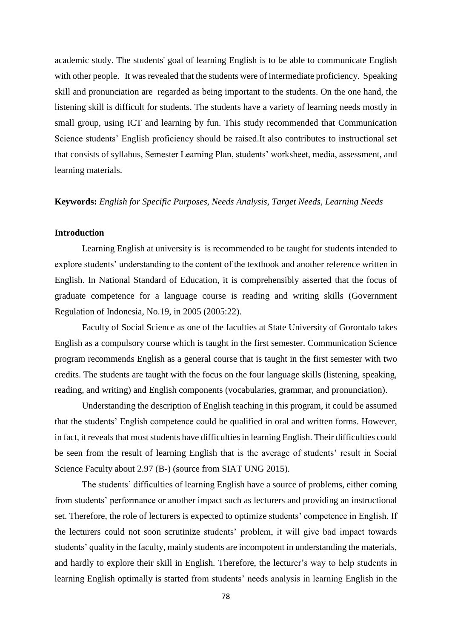academic study. The students' goal of learning English is to be able to communicate English with other people. It was revealed that the students were of intermediate proficiency. Speaking skill and pronunciation are regarded as being important to the students. On the one hand, the listening skill is difficult for students. The students have a variety of learning needs mostly in small group, using ICT and learning by fun. This study recommended that Communication Science students' English proficiency should be raised.It also contributes to instructional set that consists of syllabus, Semester Learning Plan, students' worksheet, media, assessment, and learning materials.

#### **Keywords:** *English for Specific Purposes, Needs Analysis, Target Needs, Learning Needs*

# **Introduction**

Learning English at university is is recommended to be taught for students intended to explore students' understanding to the content of the textbook and another reference written in English. In National Standard of Education, it is comprehensibly asserted that the focus of graduate competence for a language course is reading and writing skills (Government Regulation of Indonesia, No.19, in 2005 (2005:22).

Faculty of Social Science as one of the faculties at State University of Gorontalo takes English as a compulsory course which is taught in the first semester. Communication Science program recommends English as a general course that is taught in the first semester with two credits. The students are taught with the focus on the four language skills (listening, speaking, reading, and writing) and English components (vocabularies, grammar, and pronunciation).

Understanding the description of English teaching in this program, it could be assumed that the students' English competence could be qualified in oral and written forms. However, in fact, it reveals that most students have difficulties in learning English. Their difficulties could be seen from the result of learning English that is the average of students' result in Social Science Faculty about 2.97 (B-) (source from SIAT UNG 2015).

The students' difficulties of learning English have a source of problems, either coming from students' performance or another impact such as lecturers and providing an instructional set. Therefore, the role of lecturers is expected to optimize students' competence in English. If the lecturers could not soon scrutinize students' problem, it will give bad impact towards students' quality in the faculty, mainly students are incompotent in understanding the materials, and hardly to explore their skill in English. Therefore, the lecturer's way to help students in learning English optimally is started from students' needs analysis in learning English in the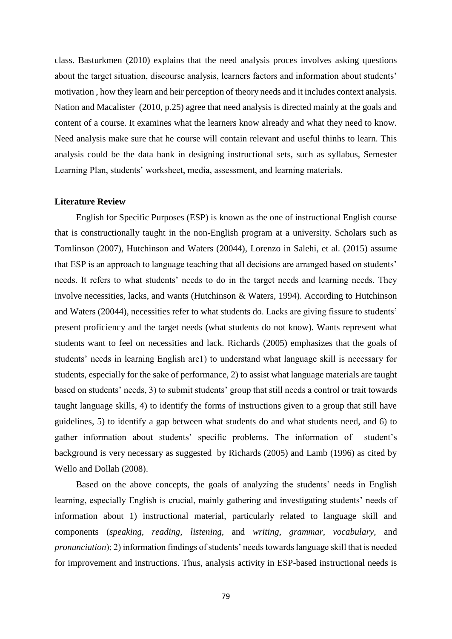class. Basturkmen (2010) explains that the need analysis proces involves asking questions about the target situation, discourse analysis, learners factors and information about students' motivation , how they learn and heir perception of theory needs and it includes context analysis. Nation and Macalister (2010, p.25) agree that need analysis is directed mainly at the goals and content of a course. It examines what the learners know already and what they need to know. Need analysis make sure that he course will contain relevant and useful thinhs to learn. This analysis could be the data bank in designing instructional sets, such as syllabus, Semester Learning Plan, students' worksheet, media, assessment, and learning materials.

#### **Literature Review**

English for Specific Purposes (ESP) is known as the one of instructional English course that is constructionally taught in the non-English program at a university. Scholars such as Tomlinson (2007), Hutchinson and Waters (20044), Lorenzo in Salehi, et al. (2015) assume that ESP is an approach to language teaching that all decisions are arranged based on students' needs. It refers to what students' needs to do in the target needs and learning needs. They involve necessities, lacks, and wants (Hutchinson & Waters, 1994). According to Hutchinson and Waters (20044), necessities refer to what students do. Lacks are giving fissure to students' present proficiency and the target needs (what students do not know). Wants represent what students want to feel on necessities and lack. Richards (2005) emphasizes that the goals of students' needs in learning English are1) to understand what language skill is necessary for students, especially for the sake of performance, 2) to assist what language materials are taught based on students' needs, 3) to submit students' group that still needs a control or trait towards taught language skills, 4) to identify the forms of instructions given to a group that still have guidelines, 5) to identify a gap between what students do and what students need, and 6) to gather information about students' specific problems. The information of student's background is very necessary as suggested by Richards (2005) and Lamb (1996) as cited by Wello and Dollah (2008).

Based on the above concepts, the goals of analyzing the students' needs in English learning, especially English is crucial, mainly gathering and investigating students' needs of information about 1) instructional material, particularly related to language skill and components (*speaking, reading, listening,* and *writing*, *grammar, vocabulary,* and *pronunciation*); 2) information findings of students' needs towards language skill that is needed for improvement and instructions. Thus, analysis activity in ESP-based instructional needs is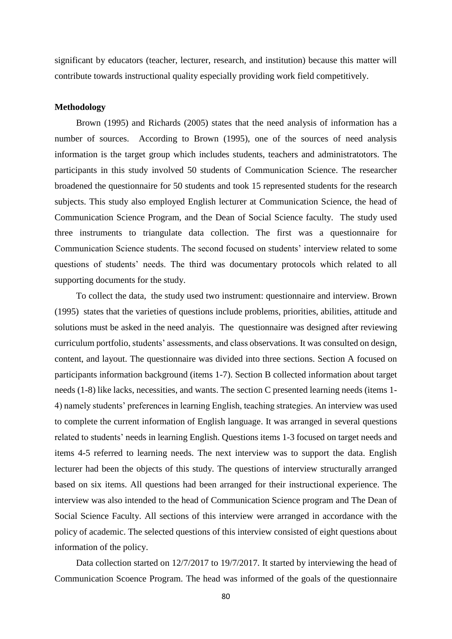significant by educators (teacher, lecturer, research, and institution) because this matter will contribute towards instructional quality especially providing work field competitively.

#### **Methodology**

Brown (1995) and Richards (2005) states that the need analysis of information has a number of sources. According to Brown (1995), one of the sources of need analysis information is the target group which includes students, teachers and administratotors. The participants in this study involved 50 students of Communication Science. The researcher broadened the questionnaire for 50 students and took 15 represented students for the research subjects. This study also employed English lecturer at Communication Science, the head of Communication Science Program, and the Dean of Social Science faculty.The study used three instruments to triangulate data collection. The first was a questionnaire for Communication Science students. The second focused on students' interview related to some questions of students' needs. The third was documentary protocols which related to all supporting documents for the study.

To collect the data, the study used two instrument: questionnaire and interview. Brown (1995) states that the varieties of questions include problems, priorities, abilities, attitude and solutions must be asked in the need analyis. The questionnaire was designed after reviewing curriculum portfolio, students' assessments, and class observations. It was consulted on design, content, and layout. The questionnaire was divided into three sections. Section A focused on participants information background (items 1-7). Section B collected information about target needs (1-8) like lacks, necessities, and wants. The section C presented learning needs (items 1- 4) namely students' preferences in learning English, teaching strategies. An interview was used to complete the current information of English language. It was arranged in several questions related to students' needs in learning English. Questions items 1-3 focused on target needs and items 4-5 referred to learning needs. The next interview was to support the data. English lecturer had been the objects of this study. The questions of interview structurally arranged based on six items. All questions had been arranged for their instructional experience. The interview was also intended to the head of Communication Science program and The Dean of Social Science Faculty. All sections of this interview were arranged in accordance with the policy of academic. The selected questions of this interview consisted of eight questions about information of the policy.

Data collection started on 12/7/2017 to 19/7/2017. It started by interviewing the head of Communication Scoence Program. The head was informed of the goals of the questionnaire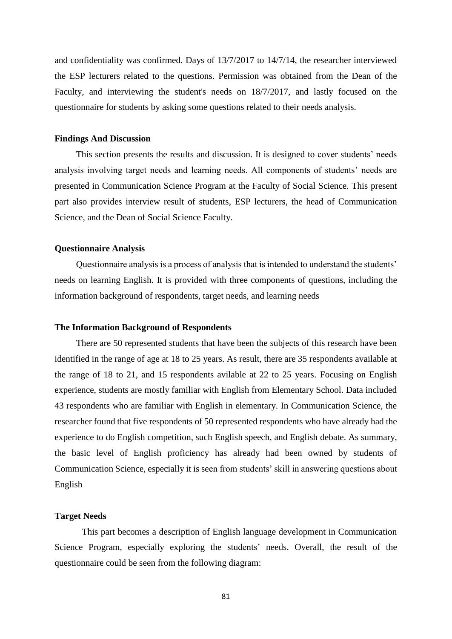and confidentiality was confirmed. Days of 13/7/2017 to 14/7/14, the researcher interviewed the ESP lecturers related to the questions. Permission was obtained from the Dean of the Faculty, and interviewing the student's needs on 18/7/2017, and lastly focused on the questionnaire for students by asking some questions related to their needs analysis.

#### **Findings And Discussion**

This section presents the results and discussion. It is designed to cover students' needs analysis involving target needs and learning needs. All components of students' needs are presented in Communication Science Program at the Faculty of Social Science. This present part also provides interview result of students, ESP lecturers, the head of Communication Science, and the Dean of Social Science Faculty.

#### **Questionnaire Analysis**

Questionnaire analysis is a process of analysis that is intended to understand the students' needs on learning English. It is provided with three components of questions, including the information background of respondents, target needs, and learning needs

#### **The Information Background of Respondents**

There are 50 represented students that have been the subjects of this research have been identified in the range of age at 18 to 25 years. As result, there are 35 respondents available at the range of 18 to 21, and 15 respondents avilable at 22 to 25 years. Focusing on English experience, students are mostly familiar with English from Elementary School. Data included 43 respondents who are familiar with English in elementary. In Communication Science, the researcher found that five respondents of 50 represented respondents who have already had the experience to do English competition, such English speech, and English debate. As summary, the basic level of English proficiency has already had been owned by students of Communication Science, especially it is seen from students' skill in answering questions about English

## **Target Needs**

This part becomes a description of English language development in Communication Science Program, especially exploring the students' needs. Overall, the result of the questionnaire could be seen from the following diagram: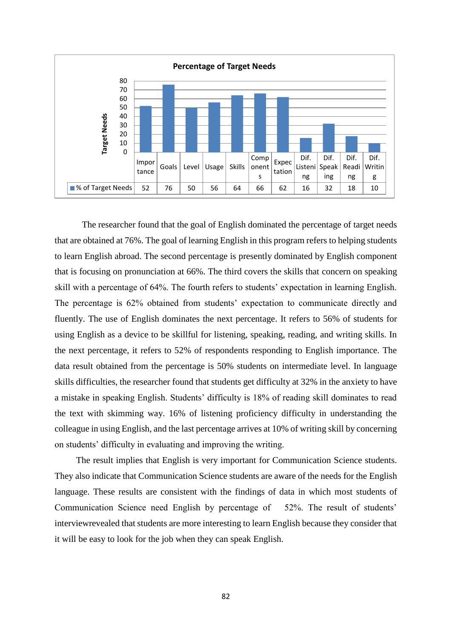

The researcher found that the goal of English dominated the percentage of target needs that are obtained at 76%. The goal of learning English in this program refers to helping students to learn English abroad. The second percentage is presently dominated by English component that is focusing on pronunciation at 66%. The third covers the skills that concern on speaking skill with a percentage of 64%. The fourth refers to students' expectation in learning English. The percentage is 62% obtained from students' expectation to communicate directly and fluently. The use of English dominates the next percentage. It refers to 56% of students for using English as a device to be skillful for listening, speaking, reading, and writing skills. In the next percentage, it refers to 52% of respondents responding to English importance. The data result obtained from the percentage is 50% students on intermediate level. In language skills difficulties, the researcher found that students get difficulty at 32% in the anxiety to have a mistake in speaking English. Students' difficulty is 18% of reading skill dominates to read the text with skimming way. 16% of listening proficiency difficulty in understanding the colleague in using English, and the last percentage arrives at 10% of writing skill by concerning on students' difficulty in evaluating and improving the writing.

The result implies that English is very important for Communication Science students. They also indicate that Communication Science students are aware of the needs for the English language. These results are consistent with the findings of data in which most students of Communication Science need English by percentage of 52%. The result of students' interviewrevealed that students are more interesting to learn English because they consider that it will be easy to look for the job when they can speak English.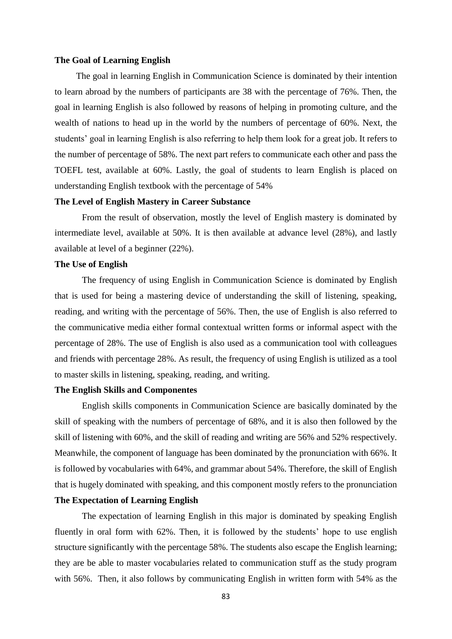#### **The Goal of Learning English**

The goal in learning English in Communication Science is dominated by their intention to learn abroad by the numbers of participants are 38 with the percentage of 76%. Then, the goal in learning English is also followed by reasons of helping in promoting culture, and the wealth of nations to head up in the world by the numbers of percentage of 60%. Next, the students' goal in learning English is also referring to help them look for a great job. It refers to the number of percentage of 58%. The next part refers to communicate each other and pass the TOEFL test, available at 60%. Lastly, the goal of students to learn English is placed on understanding English textbook with the percentage of 54%

#### **The Level of English Mastery in Career Substance**

From the result of observation, mostly the level of English mastery is dominated by intermediate level, available at 50%. It is then available at advance level (28%), and lastly available at level of a beginner (22%).

#### **The Use of English**

The frequency of using English in Communication Science is dominated by English that is used for being a mastering device of understanding the skill of listening, speaking, reading, and writing with the percentage of 56%. Then, the use of English is also referred to the communicative media either formal contextual written forms or informal aspect with the percentage of 28%. The use of English is also used as a communication tool with colleagues and friends with percentage 28%. As result, the frequency of using English is utilized as a tool to master skills in listening, speaking, reading, and writing.

#### **The English Skills and Componentes**

English skills components in Communication Science are basically dominated by the skill of speaking with the numbers of percentage of 68%, and it is also then followed by the skill of listening with 60%, and the skill of reading and writing are 56% and 52% respectively. Meanwhile, the component of language has been dominated by the pronunciation with 66%. It is followed by vocabularies with 64%, and grammar about 54%. Therefore, the skill of English that is hugely dominated with speaking, and this component mostly refers to the pronunciation

# **The Expectation of Learning English**

The expectation of learning English in this major is dominated by speaking English fluently in oral form with 62%. Then, it is followed by the students' hope to use english structure significantly with the percentage 58%. The students also escape the English learning; they are be able to master vocabularies related to communication stuff as the study program with 56%. Then, it also follows by communicating English in written form with 54% as the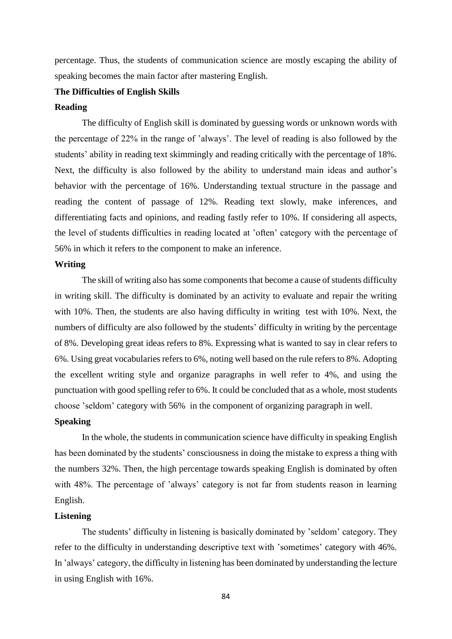percentage. Thus, the students of communication science are mostly escaping the ability of speaking becomes the main factor after mastering English.

#### **The Difficulties of English Skills**

#### **Reading**

The difficulty of English skill is dominated by guessing words or unknown words with the percentage of 22% in the range of 'always'. The level of reading is also followed by the students' ability in reading text skimmingly and reading critically with the percentage of 18%. Next, the difficulty is also followed by the ability to understand main ideas and author's behavior with the percentage of 16%. Understanding textual structure in the passage and reading the content of passage of 12%. Reading text slowly, make inferences, and differentiating facts and opinions, and reading fastly refer to 10%. If considering all aspects, the level of students difficulties in reading located at 'often' category with the percentage of 56% in which it refers to the component to make an inference.

#### **Writing**

The skill of writing also has some components that become a cause of students difficulty in writing skill. The difficulty is dominated by an activity to evaluate and repair the writing with 10%. Then, the students are also having difficulty in writing test with 10%. Next, the numbers of difficulty are also followed by the students' difficulty in writing by the percentage of 8%. Developing great ideas refers to 8%. Expressing what is wanted to say in clear refers to 6%. Using great vocabularies refers to 6%, noting well based on the rule refers to 8%. Adopting the excellent writing style and organize paragraphs in well refer to 4%, and using the punctuation with good spelling refer to 6%. It could be concluded that as a whole, most students choose 'seldom' category with 56% in the component of organizing paragraph in well.

#### **Speaking**

In the whole, the students in communication science have difficulty in speaking English has been dominated by the students' consciousness in doing the mistake to express a thing with the numbers 32%. Then, the high percentage towards speaking English is dominated by often with 48%. The percentage of 'always' category is not far from students reason in learning English.

## **Listening**

The students' difficulty in listening is basically dominated by 'seldom' category. They refer to the difficulty in understanding descriptive text with 'sometimes' category with 46%. In 'always' category, the difficulty in listening has been dominated by understanding the lecture in using English with 16%.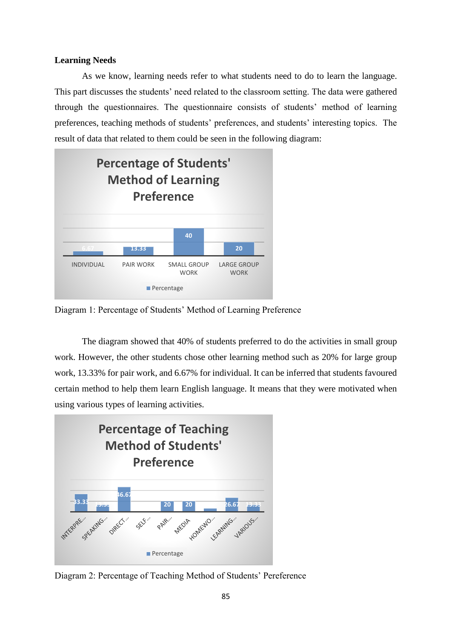# **Learning Needs**

As we know, learning needs refer to what students need to do to learn the language. This part discusses the students' need related to the classroom setting. The data were gathered through the questionnaires. The questionnaire consists of students' method of learning preferences, teaching methods of students' preferences, and students' interesting topics. The result of data that related to them could be seen in the following diagram:



Diagram 1: Percentage of Students' Method of Learning Preference

The diagram showed that 40% of students preferred to do the activities in small group work. However, the other students chose other learning method such as 20% for large group work, 13.33% for pair work, and 6.67% for individual. It can be inferred that students favoured certain method to help them learn English language. It means that they were motivated when using various types of learning activities.



Diagram 2: Percentage of Teaching Method of Students' Pereference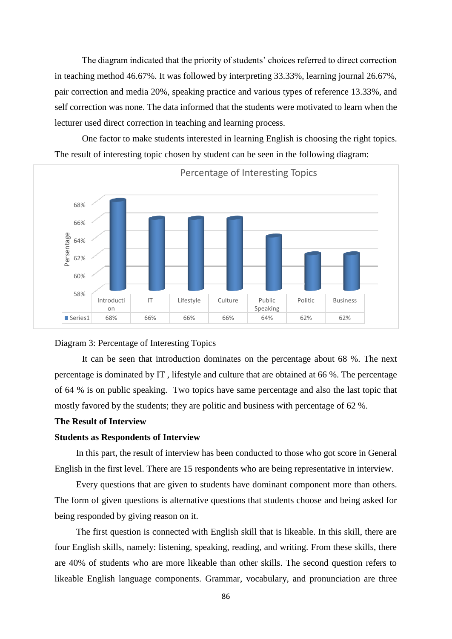The diagram indicated that the priority of students' choices referred to direct correction in teaching method 46.67%. It was followed by interpreting 33.33%, learning journal 26.67%, pair correction and media 20%, speaking practice and various types of reference 13.33%, and self correction was none. The data informed that the students were motivated to learn when the lecturer used direct correction in teaching and learning process.

One factor to make students interested in learning English is choosing the right topics. The result of interesting topic chosen by student can be seen in the following diagram:



#### Diagram 3: Percentage of Interesting Topics

It can be seen that introduction dominates on the percentage about 68 %. The next percentage is dominated by IT , lifestyle and culture that are obtained at 66 %. The percentage of 64 % is on public speaking. Two topics have same percentage and also the last topic that mostly favored by the students; they are politic and business with percentage of 62 %.

#### **The Result of Interview**

#### **Students as Respondents of Interview**

In this part, the result of interview has been conducted to those who got score in General English in the first level. There are 15 respondents who are being representative in interview.

Every questions that are given to students have dominant component more than others. The form of given questions is alternative questions that students choose and being asked for being responded by giving reason on it.

The first question is connected with English skill that is likeable. In this skill, there are four English skills, namely: listening, speaking, reading, and writing. From these skills, there are 40% of students who are more likeable than other skills. The second question refers to likeable English language components. Grammar, vocabulary, and pronunciation are three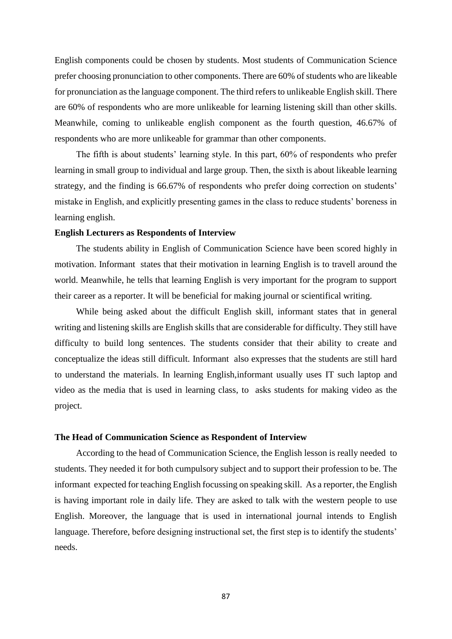English components could be chosen by students. Most students of Communication Science prefer choosing pronunciation to other components. There are 60% of students who are likeable for pronunciation as the language component. The third refers to unlikeable English skill. There are 60% of respondents who are more unlikeable for learning listening skill than other skills. Meanwhile, coming to unlikeable english component as the fourth question, 46.67% of respondents who are more unlikeable for grammar than other components.

The fifth is about students' learning style. In this part, 60% of respondents who prefer learning in small group to individual and large group. Then, the sixth is about likeable learning strategy, and the finding is 66.67% of respondents who prefer doing correction on students' mistake in English, and explicitly presenting games in the class to reduce students' boreness in learning english.

#### **English Lecturers as Respondents of Interview**

The students ability in English of Communication Science have been scored highly in motivation. Informant states that their motivation in learning English is to travell around the world. Meanwhile, he tells that learning English is very important for the program to support their career as a reporter. It will be beneficial for making journal or scientifical writing.

While being asked about the difficult English skill, informant states that in general writing and listening skills are English skills that are considerable for difficulty. They still have difficulty to build long sentences. The students consider that their ability to create and conceptualize the ideas still difficult. Informant also expresses that the students are still hard to understand the materials. In learning English,informant usually uses IT such laptop and video as the media that is used in learning class, to asks students for making video as the project.

#### **The Head of Communication Science as Respondent of Interview**

According to the head of Communication Science, the English lesson is really needed to students. They needed it for both cumpulsory subject and to support their profession to be. The informant expected for teaching English focussing on speaking skill. As a reporter, the English is having important role in daily life. They are asked to talk with the western people to use English. Moreover, the language that is used in international journal intends to English language. Therefore, before designing instructional set, the first step is to identify the students' needs.